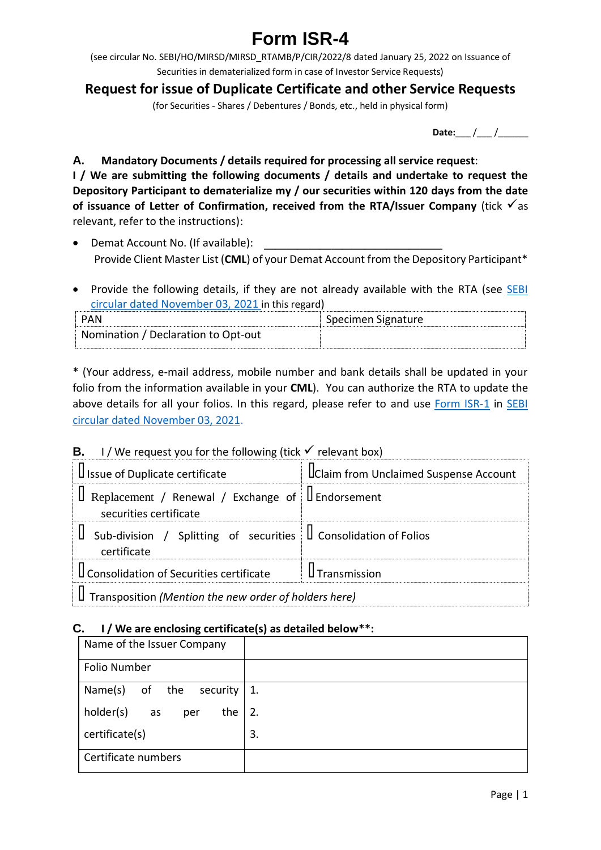# **Form ISR-4**

(see circular No. SEBI/HO/MIRSD/MIRSD\_RTAMB/P/CIR/2022/8 dated January 25, 2022 on Issuance of Securities in dematerialized form in case of Investor Service Requests)

## **Request for issue of Duplicate Certificate and other Service Requests**

(for Securities - Shares / Debentures / Bonds, etc., held in physical form)

**Date:** / /

**A. Mandatory Documents / details required for processing all service request**: **I / We are submitting the following documents / details and undertake to request the Depository Participant to dematerialize my / our securities within 120 days from the date**  of **issuance** of Letter of Confirmation, received from the RTA/Issuer Company (tick  $\checkmark$  as relevant, refer to the instructions):

- Demat Account No. (If available): Provide Client Master List (**CML**) of your Demat Account from the Depository Participant\*
- Provide the following details, if they are not already available with the RTA (see SEBI [circular dated November 03, 2021](https://www.sebi.gov.in/legal/circulars/nov-2021/common-and-simplified-norms-for-processing-investor-s-service-request-by-rtas-and-norms-for-furnishing-pan-kyc-details-and-nomination_53787.html) in this regard)

| PAN                                 | Specimen Signature |
|-------------------------------------|--------------------|
| Nomination / Declaration to Opt-out |                    |

\* (Your address, e-mail address, mobile number and bank details shall be updated in your folio from the information available in your **CML**). You can authorize the RTA to update the above details for all your folios. In this regard, please refer to and use [Form ISR-1](https://www.sebi.gov.in/sebi_data/commondocs/dec-2021/pdf%20Form%20ISR-1%20(1)_p.pdf) in [SEBI](https://www.sebi.gov.in/legal/circulars/nov-2021/common-and-simplified-norms-for-processing-investor-s-service-request-by-rtas-and-norms-for-furnishing-pan-kyc-details-and-nomination_53787.html)  [circular dated November 03, 2021.](https://www.sebi.gov.in/legal/circulars/nov-2021/common-and-simplified-norms-for-processing-investor-s-service-request-by-rtas-and-norms-for-furnishing-pan-kyc-details-and-nomination_53787.html)

### **B.** I / We request you for the following (tick  $\checkmark$  relevant box)

| I Issue of Duplicate certificate                                                          | Uclaim from Unclaimed Suspense Account |  |  |  |  |
|-------------------------------------------------------------------------------------------|----------------------------------------|--|--|--|--|
| $\Box$ Replacement / Renewal / Exchange of $\Box$ Endorsement<br>securities certificate   |                                        |  |  |  |  |
| Sub-division / Splitting of securities $\parallel$ Consolidation of Folios<br>certificate |                                        |  |  |  |  |
| $\mathsf I$ Consolidation of Securities certificate $\mathsf I$ Transmission              |                                        |  |  |  |  |
| $\parallel$ Transposition (Mention the new order of holders here)                         |                                        |  |  |  |  |

#### **C. I / We are enclosing certificate(s) as detailed below\*\*:**

| Name of the Issuer Company    |    |
|-------------------------------|----|
| Folio Number                  |    |
| Name(s) of the<br>security    | 1. |
| holder(s)<br>the<br>as<br>per | 2. |
| certificate(s)                | 3. |
| Certificate numbers           |    |